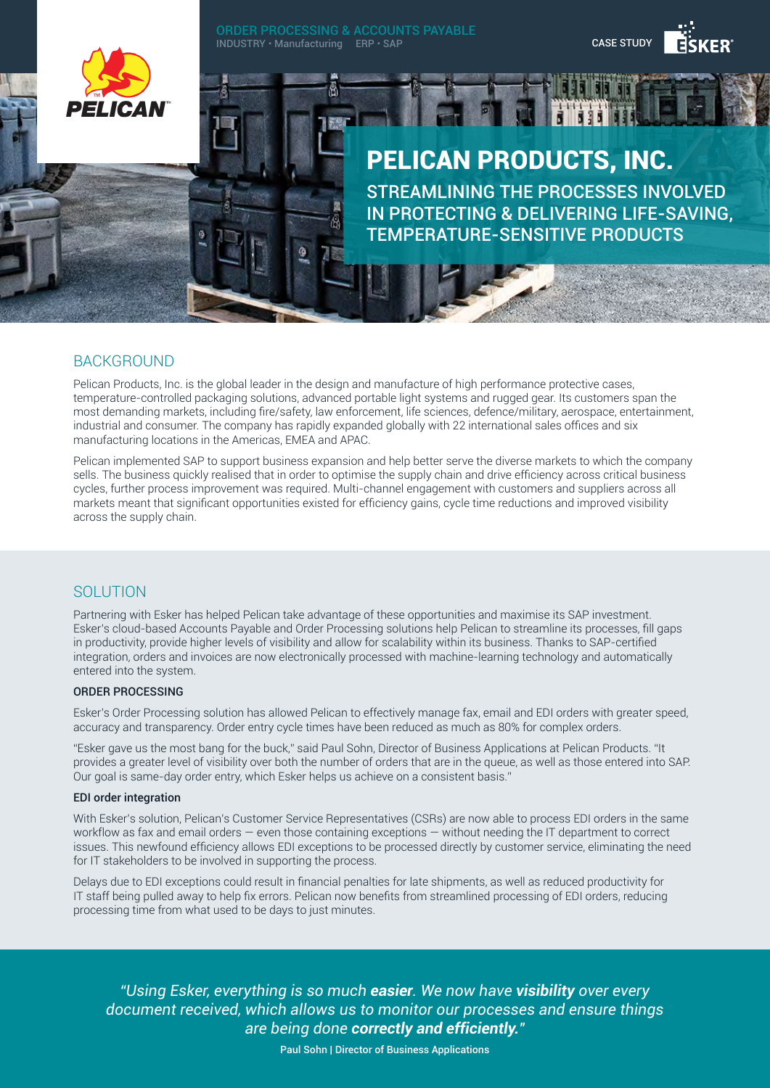

## BACKGROUND

Pelican Products, Inc. is the global leader in the design and manufacture of high performance protective cases, temperature-controlled packaging solutions, advanced portable light systems and rugged gear. Its customers span the most demanding markets, including fire/safety, law enforcement, life sciences, defence/military, aerospace, entertainment, industrial and consumer. The company has rapidly expanded globally with 22 international sales offices and six manufacturing locations in the Americas, EMEA and APAC.

Pelican implemented SAP to support business expansion and help better serve the diverse markets to which the company sells. The business quickly realised that in order to optimise the supply chain and drive efficiency across critical business cycles, further process improvement was required. Multi-channel engagement with customers and suppliers across all markets meant that significant opportunities existed for efficiency gains, cycle time reductions and improved visibility across the supply chain.

# SOLUTION

Partnering with Esker has helped Pelican take advantage of these opportunities and maximise its SAP investment. Esker's cloud-based Accounts Payable and Order Processing solutions help Pelican to streamline its processes, fill gaps in productivity, provide higher levels of visibility and allow for scalability within its business. Thanks to SAP-certified integration, orders and invoices are now electronically processed with machine-learning technology and automatically entered into the system.

### ORDER PROCESSING

Esker's Order Processing solution has allowed Pelican to effectively manage fax, email and EDI orders with greater speed, accuracy and transparency. Order entry cycle times have been reduced as much as 80% for complex orders.

"Esker gave us the most bang for the buck," said Paul Sohn, Director of Business Applications at Pelican Products. "It provides a greater level of visibility over both the number of orders that are in the queue, as well as those entered into SAP. Our goal is same-day order entry, which Esker helps us achieve on a consistent basis."

### EDI order integration

With Esker's solution, Pelican's Customer Service Representatives (CSRs) are now able to process EDI orders in the same workflow as fax and email orders — even those containing exceptions — without needing the IT department to correct issues. This newfound efficiency allows EDI exceptions to be processed directly by customer service, eliminating the need for IT stakeholders to be involved in supporting the process.

Delays due to EDI exceptions could result in financial penalties for late shipments, as well as reduced productivity for IT staff being pulled away to help fix errors. Pelican now benefits from streamlined processing of EDI orders, reducing processing time from what used to be days to just minutes.

*"Using Esker, everything is so much easier. We now have visibility over every document received, which allows us to monitor our processes and ensure things are being done correctly and efficiently.″*

Paul Sohn | Director of Business Applications